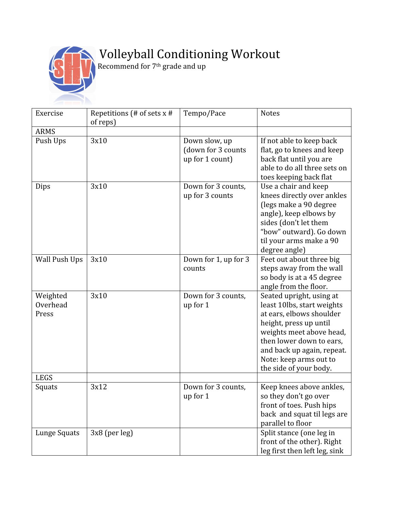

## Wolleyball Conditioning Workout

 $\mathbb{R}$  **Recommend** for 7<sup>th</sup> grade and up

| Exercise                      | Repetitions (# of sets $x$ #<br>of reps) | Tempo/Pace                                             | <b>Notes</b>                                                                                                                                                                                                                                           |
|-------------------------------|------------------------------------------|--------------------------------------------------------|--------------------------------------------------------------------------------------------------------------------------------------------------------------------------------------------------------------------------------------------------------|
| <b>ARMS</b>                   |                                          |                                                        |                                                                                                                                                                                                                                                        |
| Push Ups                      | 3x10                                     | Down slow, up<br>(down for 3 counts<br>up for 1 count) | If not able to keep back<br>flat, go to knees and keep<br>back flat until you are<br>able to do all three sets on<br>toes keeping back flat                                                                                                            |
| Dips                          | 3x10                                     | Down for 3 counts,<br>up for 3 counts                  | Use a chair and keep<br>knees directly over ankles<br>(legs make a 90 degree<br>angle), keep elbows by<br>sides (don't let them<br>"bow" outward). Go down<br>til your arms make a 90<br>degree angle)                                                 |
| <b>Wall Push Ups</b>          | 3x10                                     | Down for 1, up for 3<br>counts                         | Feet out about three big<br>steps away from the wall<br>so body is at a 45 degree<br>angle from the floor.                                                                                                                                             |
| Weighted<br>Overhead<br>Press | 3x10                                     | Down for 3 counts,<br>up for 1                         | Seated upright, using at<br>least 10lbs, start weights<br>at ears, elbows shoulder<br>height, press up until<br>weights meet above head,<br>then lower down to ears,<br>and back up again, repeat.<br>Note: keep arms out to<br>the side of your body. |
| <b>LEGS</b>                   |                                          |                                                        |                                                                                                                                                                                                                                                        |
| Squats                        | 3x12                                     | Down for 3 counts,<br>up for 1                         | Keep knees above ankles,<br>so they don't go over<br>front of toes. Push hips<br>back and squat til legs are<br>parallel to floor                                                                                                                      |
| Lunge Squats                  | 3x8 (per leg)                            |                                                        | Split stance (one leg in<br>front of the other). Right<br>leg first then left leg, sink                                                                                                                                                                |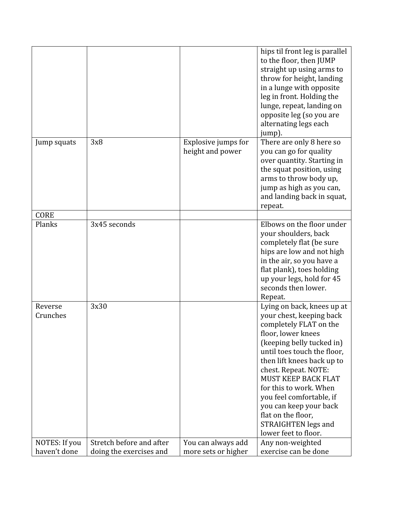|                     |                          |                                         | hips til front leg is parallel<br>to the floor, then JUMP<br>straight up using arms to<br>throw for height, landing<br>in a lunge with opposite<br>leg in front. Holding the<br>lunge, repeat, landing on<br>opposite leg (so you are<br>alternating legs each<br>jump).                                                                                                                             |
|---------------------|--------------------------|-----------------------------------------|------------------------------------------------------------------------------------------------------------------------------------------------------------------------------------------------------------------------------------------------------------------------------------------------------------------------------------------------------------------------------------------------------|
| Jump squats         | 3x8                      | Explosive jumps for<br>height and power | There are only 8 here so<br>you can go for quality<br>over quantity. Starting in<br>the squat position, using<br>arms to throw body up,<br>jump as high as you can,<br>and landing back in squat,<br>repeat.                                                                                                                                                                                         |
| <b>CORE</b>         |                          |                                         |                                                                                                                                                                                                                                                                                                                                                                                                      |
| Planks              | 3x45 seconds             |                                         | Elbows on the floor under<br>your shoulders, back<br>completely flat (be sure<br>hips are low and not high<br>in the air, so you have a<br>flat plank), toes holding<br>up your legs, hold for 45<br>seconds then lower.<br>Repeat.                                                                                                                                                                  |
| Reverse<br>Crunches | 3x30                     |                                         | Lying on back, knees up at<br>your chest, keeping back<br>completely FLAT on the<br>floor, lower knees<br>(keeping belly tucked in)<br>until toes touch the floor,<br>then lift knees back up to<br>chest. Repeat. NOTE:<br>MUST KEEP BACK FLAT<br>for this to work. When<br>you feel comfortable, if<br>you can keep your back<br>flat on the floor,<br>STRAIGHTEN legs and<br>lower feet to floor. |
| NOTES: If you       | Stretch before and after | You can always add                      | Any non-weighted                                                                                                                                                                                                                                                                                                                                                                                     |
| haven't done        | doing the exercises and  | more sets or higher                     | exercise can be done                                                                                                                                                                                                                                                                                                                                                                                 |